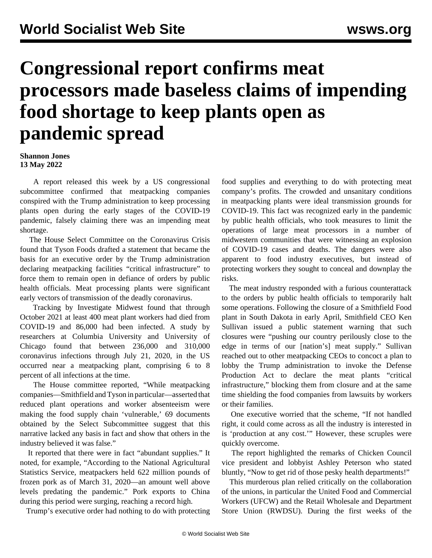## **Congressional report confirms meat processors made baseless claims of impending food shortage to keep plants open as pandemic spread**

**Shannon Jones 13 May 2022**

 A report released this week by a US congressional subcommittee confirmed that meatpacking companies conspired with the Trump administration to keep processing plants open during the early stages of the COVID-19 pandemic, falsely claiming there was an impending meat shortage.

 The House Select Committee on the Coronavirus Crisis found that Tyson Foods drafted a statement that became the basis for an executive order by the Trump administration declaring meatpacking facilities "critical infrastructure" to force them to remain open in defiance of orders by public health officials. Meat processing plants were significant early vectors of transmission of the deadly coronavirus.

 Tracking by Investigate Midwest found that through October 2021 at least 400 meat plant workers had died from COVID-19 and 86,000 had been infected. A study by researchers at Columbia University and University of Chicago found that between 236,000 and 310,000 coronavirus infections through July 21, 2020, in the US occurred near a meatpacking plant, comprising 6 to 8 percent of all infections at the time.

 The House committee reported, "While meatpacking companies—Smithfield and Tyson in particular—asserted that reduced plant operations and worker absenteeism were making the food supply chain 'vulnerable,' 69 documents obtained by the Select Subcommittee suggest that this narrative lacked any basis in fact and show that others in the industry believed it was false."

 It reported that there were in fact "abundant supplies." It noted, for example, "According to the National Agricultural Statistics Service, meatpackers held 622 million pounds of frozen pork as of March 31, 2020—an amount well above levels predating the pandemic." Pork exports to China during this period were surging, reaching a record high.

Trump's executive order had nothing to do with protecting

food supplies and everything to do with protecting meat company's profits. The crowded and unsanitary conditions in meatpacking plants were ideal transmission grounds for COVID-19. This fact was recognized early in the pandemic by public health officials, who took measures to limit the operations of large meat processors in a number of midwestern communities that were witnessing an explosion of COVID-19 cases and deaths. The dangers were also apparent to food industry executives, but instead of protecting workers they sought to conceal and downplay the risks.

 The meat industry responded with a furious counterattack to the orders by public health officials to temporarily halt some operations. Following the closure of a Smithfield Food plant in South Dakota in early April, Smithfield CEO Ken Sullivan issued a public statement warning that such closures were "pushing our country perilously close to the edge in terms of our [nation's] meat supply." Sullivan reached out to other meatpacking CEOs to concoct a plan to lobby the Trump administration to invoke the Defense Production Act to declare the meat plants "critical infrastructure," blocking them from closure and at the same time shielding the food companies from lawsuits by workers or their families.

 One executive worried that the scheme, "If not handled right, it could come across as all the industry is interested in is 'production at any cost.'" However, these scruples were quickly overcome.

 The report highlighted the remarks of Chicken Council vice president and lobbyist Ashley Peterson who stated bluntly, "Now to get rid of those pesky health departments!"

 This murderous plan relied critically on the collaboration of the unions, in particular the United Food and Commercial Workers (UFCW) and the Retail Wholesale and Department Store Union (RWDSU). During the first weeks of the